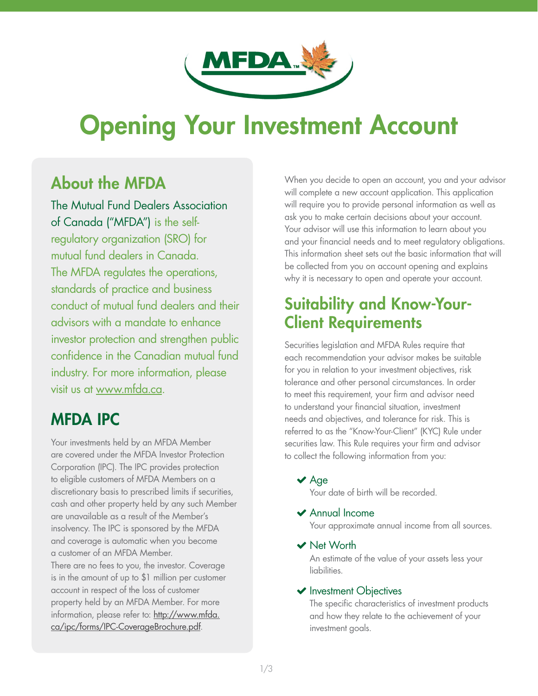

# **Opening Your Investment Account**

# About the MFDA

The Mutual Fund Dealers Association of Canada ("MFDA") is the selfregulatory organization (SRO) for mutual fund dealers in Canada. The MFDA regulates the operations, standards of practice and business conduct of mutual fund dealers and their advisors with a mandate to enhance investor protection and strengthen public confidence in the Canadian mutual fund industry. For more information, please visit us at [www.mfda.ca](http://www.mfda.ca).

# MFDA IPC

Your investments held by an MFDA Member are covered under the MFDA Investor Protection Corporation (IPC). The IPC provides protection to eligible customers of MFDA Members on a discretionary basis to prescribed limits if securities, cash and other property held by any such Member are unavailable as a result of the Member's insolvency. The IPC is sponsored by the MFDA and coverage is automatic when you become a customer of an MFDA Member. There are no fees to you, the investor. Coverage is in the amount of up to \$1 million per customer account in respect of the loss of customer property held by an MFDA Member. For more information, please refer to: [http://www.mfda.](http://www.mfda.ca/ipc/forms/IPC-CoverageBrochure.pdf) [ca/ipc/forms/IPC-CoverageBrochure.pdf](http://www.mfda.ca/ipc/forms/IPC-CoverageBrochure.pdf).

When you decide to open an account, you and your advisor will complete a new account application. This application will require you to provide personal information as well as ask you to make certain decisions about your account. Your advisor will use this information to learn about you and your financial needs and to meet regulatory obligations. This information sheet sets out the basic information that will be collected from you on account opening and explains why it is necessary to open and operate your account.

# Suitability and Know-Your-Client Requirements

Securities legislation and MFDA Rules require that each recommendation your advisor makes be suitable for you in relation to your investment objectives, risk tolerance and other personal circumstances. In order to meet this requirement, your firm and advisor need to understand your financial situation, investment needs and objectives, and tolerance for risk. This is referred to as the "Know-Your-Client" (KYC) Rule under securities law. This Rule requires your firm and advisor to collect the following information from you:

 $\blacktriangleright$  Age

Your date of birth will be recorded.

# Annual Income

Your approximate annual income from all sources.

◆ Net Worth

An estimate of the value of your assets less your liabilities.

# **v** Investment Objectives

The specific characteristics of investment products and how they relate to the achievement of your investment goals.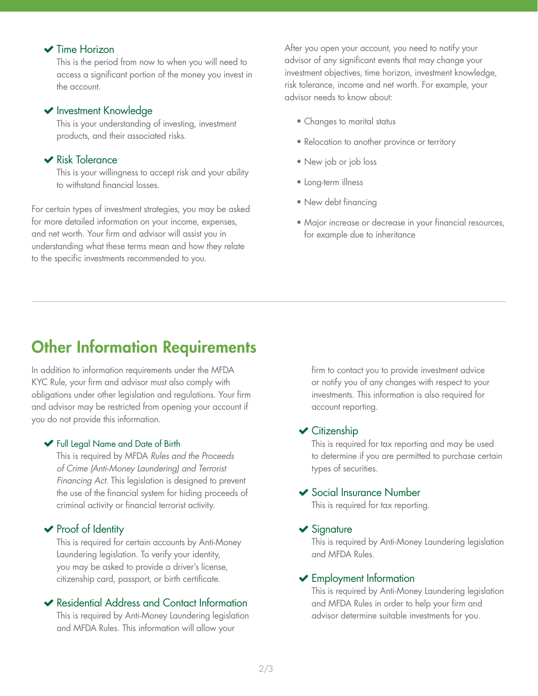# **▼** Time Horizon

This is the period from now to when you will need to access a significant portion of the money you invest in the account.

### $\blacktriangleright$  Investment Knowledge

This is your understanding of investing, investment products, and their associated risks.

# $\blacktriangleright$  Risk Tolerance

This is your willingness to accept risk and your ability to withstand financial losses.

For certain types of investment strategies, you may be asked for more detailed information on your income, expenses, and net worth. Your firm and advisor will assist you in understanding what these terms mean and how they relate to the specific investments recommended to you.

After you open your account, you need to notify your advisor of any significant events that may change your investment objectives, time horizon, investment knowledge, risk tolerance, income and net worth. For example, your advisor needs to know about:

- Changes to marital status
- Relocation to another province or territory
- New job or job loss
- Long-term illness
- New debt financing
- Major increase or decrease in your financial resources, for example due to inheritance

# Other Information Requirements

In addition to information requirements under the MFDA KYC Rule, your firm and advisor must also comply with obligations under other legislation and regulations. Your firm and advisor may be restricted from opening your account if you do not provide this information.

#### Full Legal Name and Date of Birth

This is required by MFDA *Rules and the Proceeds of Crime (Anti-Money Laundering) and Terrorist Financing Act*. This legislation is designed to prevent the use of the financial system for hiding proceeds of criminal activity or financial terrorist activity.

### $\triangleright$  Proof of Identity

This is required for certain accounts by Anti-Money Laundering legislation. To verify your identity, you may be asked to provide a driver's license, citizenship card, passport, or birth certificate.

### Residential Address and Contact Information

This is required by Anti-Money Laundering legislation and MFDA Rules. This information will allow your

firm to contact you to provide investment advice or notify you of any changes with respect to your investments. This information is also required for account reporting.

#### $\checkmark$  Citizenship

This is required for tax reporting and may be used to determine if you are permitted to purchase certain types of securities.

#### Social Insurance Number

This is required for tax reporting.

#### $\blacktriangleright$  Signature

This is required by Anti-Money Laundering legislation and MFDA Rules.

#### Employment Information

This is required by Anti-Money Laundering legislation and MFDA Rules in order to help your firm and advisor determine suitable investments for you.